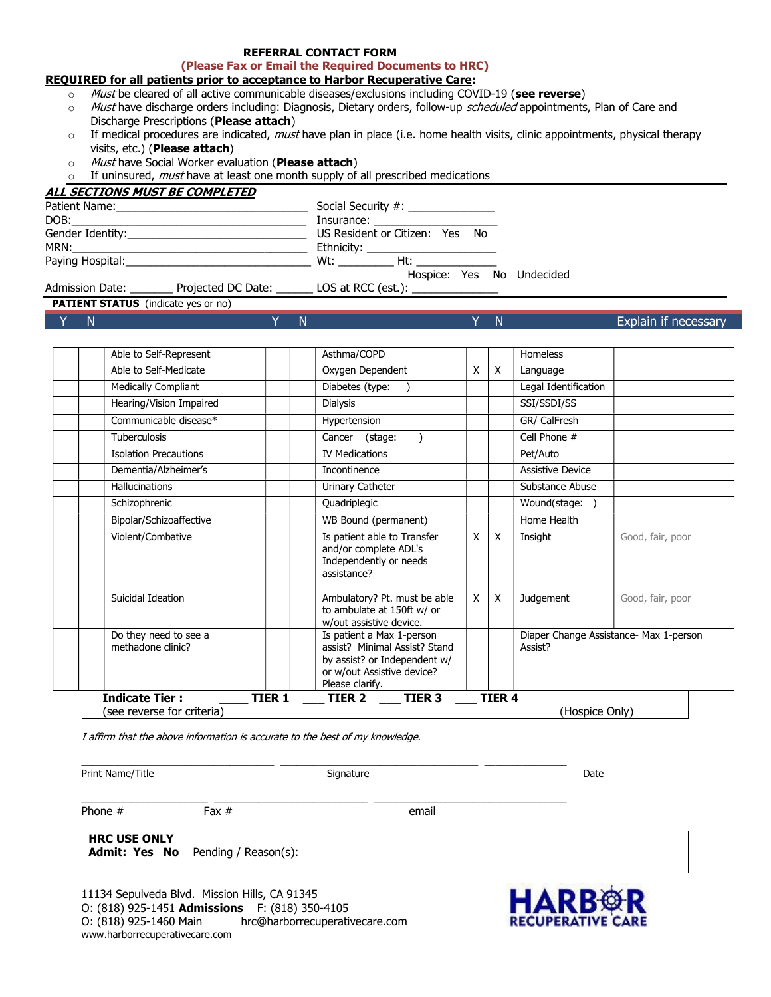### REFERRAL CONTACT FORM

(Please Fax or Email the Required Documents to HRC)

## REQUIRED for all patients prior to acceptance to Harbor Recuperative Care:

- $\sim$  Must be cleared of all active communicable diseases/exclusions including COVID-19 (see reverse)
- o Must have discharge orders including: Diagnosis, Dietary orders, follow-up scheduled appointments, Plan of Care and Discharge Prescriptions (Please attach)
- $\circ$  If medical procedures are indicated, *must* have plan in place (i.e. home health visits, clinic appointments, physical therapy visits, etc.) (Please attach)
- o Must have Social Worker evaluation (Please attach)
- $\circ$  If uninsured, *must* have at least one month supply of all prescribed medications

| <b>ALL SECTIONS MUST BE COMPLETED</b> |                      |                                                                                                                                                                                                                                      |  |  |  |
|---------------------------------------|----------------------|--------------------------------------------------------------------------------------------------------------------------------------------------------------------------------------------------------------------------------------|--|--|--|
|                                       |                      | Social Security #: ______________                                                                                                                                                                                                    |  |  |  |
|                                       |                      | Insurance: <u>with a series of the series of the series of the series of the series of the series of the series of the series of the series of the series of the series of the series of the series of the series of the series </u> |  |  |  |
|                                       |                      | US Resident or Citizen: Yes No                                                                                                                                                                                                       |  |  |  |
|                                       |                      | Ethnicity: ________________________                                                                                                                                                                                                  |  |  |  |
|                                       |                      | $Wt:$ Ht:                                                                                                                                                                                                                            |  |  |  |
|                                       |                      | Hospice: Yes No Undecided                                                                                                                                                                                                            |  |  |  |
| Admission Date: _                     | Projected DC Date: _ | $\Box$ LOS at RCC (est.): $\Box$                                                                                                                                                                                                     |  |  |  |

PATIENT STATUS (indicate yes or no)

Y N **Explain if necessary N** N Y N Y N **Explain if necessary** 

| Able to Self-Represent                     |               | Asthma/COPD                                                                                                                                 |   |               | Homeless                                          |                  |  |
|--------------------------------------------|---------------|---------------------------------------------------------------------------------------------------------------------------------------------|---|---------------|---------------------------------------------------|------------------|--|
| Able to Self-Medicate                      |               | Oxygen Dependent                                                                                                                            | X | X             | Language                                          |                  |  |
| Medically Compliant                        |               | Diabetes (type:                                                                                                                             |   |               | Legal Identification                              |                  |  |
| Hearing/Vision Impaired                    |               | <b>Dialysis</b>                                                                                                                             |   |               | SSI/SSDI/SS                                       |                  |  |
| Communicable disease*                      |               | Hypertension                                                                                                                                |   |               | GR/ CalFresh                                      |                  |  |
| <b>Tuberculosis</b>                        |               | (stage:<br>Cancer                                                                                                                           |   |               | Cell Phone #                                      |                  |  |
| <b>Isolation Precautions</b>               |               | <b>IV Medications</b>                                                                                                                       |   |               | Pet/Auto                                          |                  |  |
| Dementia/Alzheimer's                       |               | Incontinence                                                                                                                                |   |               | <b>Assistive Device</b>                           |                  |  |
| <b>Hallucinations</b>                      |               | Urinary Catheter                                                                                                                            |   |               | Substance Abuse                                   |                  |  |
| Schizophrenic                              |               | Quadriplegic                                                                                                                                |   |               | Wound(stage:                                      |                  |  |
| Bipolar/Schizoaffective                    |               | WB Bound (permanent)                                                                                                                        |   |               | Home Health                                       |                  |  |
| Violent/Combative                          |               | Is patient able to Transfer<br>and/or complete ADL's<br>Independently or needs<br>assistance?                                               | X | X             | Insight                                           | Good, fair, poor |  |
| Suicidal Ideation                          |               | Ambulatory? Pt. must be able<br>to ambulate at 150ft w/ or<br>w/out assistive device.                                                       | X | $\times$      | Judgement                                         | Good, fair, poor |  |
| Do they need to see a<br>methadone clinic? |               | Is patient a Max 1-person<br>assist? Minimal Assist? Stand<br>by assist? or Independent w/<br>or w/out Assistive device?<br>Please clarify. |   |               | Diaper Change Assistance- Max 1-person<br>Assist? |                  |  |
| <b>Indicate Tier:</b>                      | <b>TIER 1</b> | TIER <sub>3</sub><br>TIER 2                                                                                                                 |   | <b>TIER 4</b> |                                                   |                  |  |
| (see reverse for criteria)                 |               |                                                                                                                                             |   |               | (Hospice Only)                                    |                  |  |

I affirm that the above information is accurate to the best of my knowledge.

Print Name/Title **Signature** Signature Signature **Signature** Signature **Date** 

\_\_\_\_\_\_\_\_\_\_\_\_\_\_\_\_\_\_\_\_\_\_\_\_\_\_\_\_\_\_\_\_\_\_\_ \_\_\_\_\_\_\_\_\_\_\_\_\_\_\_\_\_\_\_\_\_\_\_\_\_\_\_\_\_\_\_\_\_\_\_\_ \_\_\_\_\_\_\_\_\_\_\_\_\_\_\_

\_\_\_\_\_\_\_\_\_\_\_\_\_\_\_\_\_\_\_\_\_\_\_ \_\_\_\_\_\_\_\_\_\_\_\_\_\_\_\_\_\_\_\_\_\_\_\_\_\_\_\_ \_\_\_\_\_\_\_\_\_\_\_\_\_\_\_\_\_\_\_\_\_\_\_\_\_\_\_\_\_\_\_\_\_\_\_

Phone # Fax # email

HRC USE ONLY Admit: Yes No Pending / Reason(s):

11134 Sepulveda Blvd. Mission Hills, CA 91345 O: (818) 925-1451 Admissions F: (818) 350-4105 O: (818) 925-1460 Main hrc@harborrecuperativecare.com www.harborrecuperativecare.com